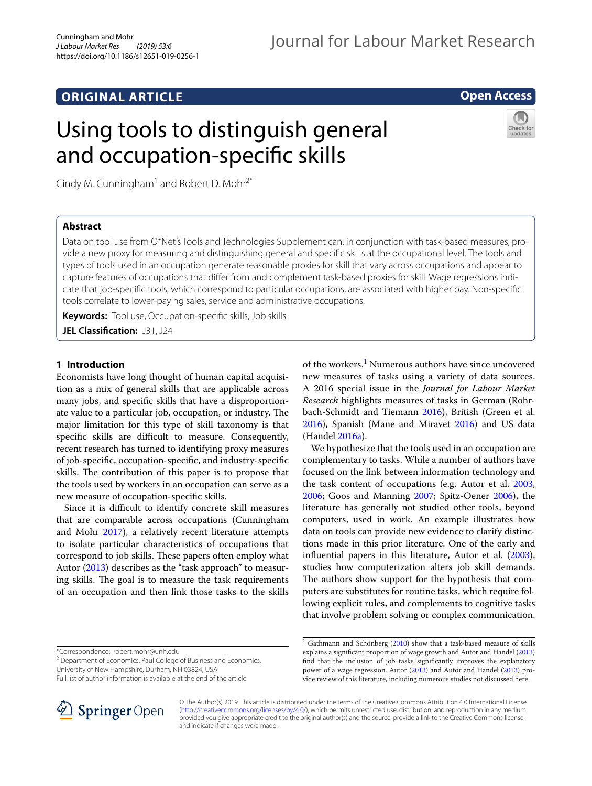# **ORIGINAL ARTICLE**

# **Open Access**

# Using tools to distinguish general and occupation-specifc skills



Cindy M. Cunningham<sup>1</sup> and Robert D. Mohr<sup>2\*</sup>

# **Abstract**

Data on tool use from O\*Net's Tools and Technologies Supplement can, in conjunction with task-based measures, provide a new proxy for measuring and distinguishing general and specifc skills at the occupational level. The tools and types of tools used in an occupation generate reasonable proxies for skill that vary across occupations and appear to capture features of occupations that difer from and complement task-based proxies for skill. Wage regressions indicate that job-specifc tools, which correspond to particular occupations, are associated with higher pay. Non-specifc tools correlate to lower-paying sales, service and administrative occupations.

**Keywords:** Tool use, Occupation-specifc skills, Job skills

**JEL Classifcation:** J31, J24

# **1 Introduction**

Economists have long thought of human capital acquisition as a mix of general skills that are applicable across many jobs, and specifc skills that have a disproportionate value to a particular job, occupation, or industry. The major limitation for this type of skill taxonomy is that specific skills are difficult to measure. Consequently, recent research has turned to identifying proxy measures of job-specifc, occupation-specifc, and industry-specifc skills. The contribution of this paper is to propose that the tools used by workers in an occupation can serve as a new measure of occupation-specifc skills.

Since it is difficult to identify concrete skill measures that are comparable across occupations (Cunningham and Mohr [2017](#page-10-0)), a relatively recent literature attempts to isolate particular characteristics of occupations that correspond to job skills. These papers often employ what Autor ([2013](#page-10-1)) describes as the "task approach" to measuring skills. The goal is to measure the task requirements of an occupation and then link those tasks to the skills

University of New Hampshire, Durham, NH 03824, USA

Full list of author information is available at the end of the article



of the workers.<sup>[1](#page-0-0)</sup> Numerous authors have since uncovered new measures of tasks using a variety of data sources. A 2016 special issue in the *Journal for Labour Market Research* highlights measures of tasks in German (Rohrbach-Schmidt and Tiemann [2016\)](#page-10-2), British (Green et al. [2016](#page-10-3)), Spanish (Mane and Miravet [2016](#page-10-4)) and US data (Handel [2016a](#page-10-5)).

We hypothesize that the tools used in an occupation are complementary to tasks. While a number of authors have focused on the link between information technology and the task content of occupations (e.g. Autor et al. [2003](#page-10-6), [2006](#page-10-7); Goos and Manning [2007](#page-10-8); Spitz-Oener [2006](#page-10-9)), the literature has generally not studied other tools, beyond computers, used in work. An example illustrates how data on tools can provide new evidence to clarify distinctions made in this prior literature. One of the early and infuential papers in this literature, Autor et al. [\(2003](#page-10-6)), studies how computerization alters job skill demands. The authors show support for the hypothesis that computers are substitutes for routine tasks, which require following explicit rules, and complements to cognitive tasks that involve problem solving or complex communication.

© The Author(s) 2019. This article is distributed under the terms of the Creative Commons Attribution 4.0 International License [\(http://creativecommons.org/licenses/by/4.0/\)](http://creativecommons.org/licenses/by/4.0/), which permits unrestricted use, distribution, and reproduction in any medium, provided you give appropriate credit to the original author(s) and the source, provide a link to the Creative Commons license, and indicate if changes were made.

<sup>\*</sup>Correspondence: robert.mohr@unh.edu

<sup>&</sup>lt;sup>2</sup> Department of Economics, Paul College of Business and Economics,

<span id="page-0-0"></span> $1$  Gathmann and Schönberg [\(2010\)](#page-10-10) show that a task-based measure of skills explains a signifcant proportion of wage growth and Autor and Handel ([2013](#page-10-11)) fnd that the inclusion of job tasks signifcantly improves the explanatory power of a wage regression. Autor [\(2013\)](#page-10-1) and Autor and Handel ([2013\)](#page-10-11) provide review of this literature, including numerous studies not discussed here.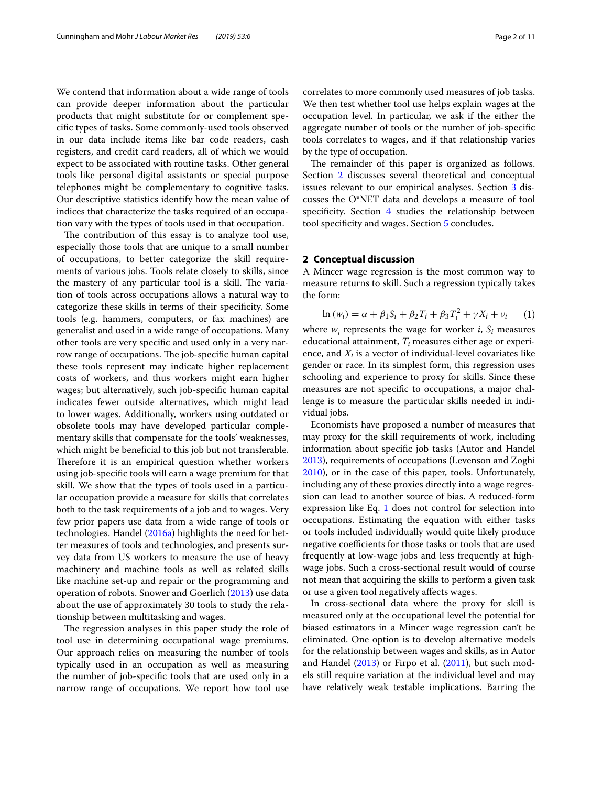We contend that information about a wide range of tools can provide deeper information about the particular products that might substitute for or complement specifc types of tasks. Some commonly-used tools observed in our data include items like bar code readers, cash registers, and credit card readers, all of which we would expect to be associated with routine tasks. Other general tools like personal digital assistants or special purpose telephones might be complementary to cognitive tasks. Our descriptive statistics identify how the mean value of indices that characterize the tasks required of an occupation vary with the types of tools used in that occupation.

The contribution of this essay is to analyze tool use, especially those tools that are unique to a small number of occupations, to better categorize the skill requirements of various jobs. Tools relate closely to skills, since the mastery of any particular tool is a skill. The variation of tools across occupations allows a natural way to categorize these skills in terms of their specifcity. Some tools (e.g. hammers, computers, or fax machines) are generalist and used in a wide range of occupations. Many other tools are very specifc and used only in a very narrow range of occupations. The job-specific human capital these tools represent may indicate higher replacement costs of workers, and thus workers might earn higher wages; but alternatively, such job-specifc human capital indicates fewer outside alternatives, which might lead to lower wages. Additionally, workers using outdated or obsolete tools may have developed particular complementary skills that compensate for the tools' weaknesses, which might be beneficial to this job but not transferable. Therefore it is an empirical question whether workers using job-specifc tools will earn a wage premium for that skill. We show that the types of tools used in a particular occupation provide a measure for skills that correlates both to the task requirements of a job and to wages. Very few prior papers use data from a wide range of tools or technologies. Handel ([2016a\)](#page-10-5) highlights the need for better measures of tools and technologies, and presents survey data from US workers to measure the use of heavy machinery and machine tools as well as related skills like machine set-up and repair or the programming and operation of robots. Snower and Goerlich ([2013\)](#page-10-12) use data about the use of approximately 30 tools to study the relationship between multitasking and wages.

The regression analyses in this paper study the role of tool use in determining occupational wage premiums. Our approach relies on measuring the number of tools typically used in an occupation as well as measuring the number of job-specifc tools that are used only in a narrow range of occupations. We report how tool use correlates to more commonly used measures of job tasks. We then test whether tool use helps explain wages at the occupation level. In particular, we ask if the either the aggregate number of tools or the number of job-specifc tools correlates to wages, and if that relationship varies by the type of occupation.

The remainder of this paper is organized as follows. Section [2](#page-1-0) discusses several theoretical and conceptual issues relevant to our empirical analyses. Section [3](#page-2-0) discusses the O\*NET data and develops a measure of tool specificity. Section  $4$  studies the relationship between tool specifcity and wages. Section [5](#page-9-0) concludes.

## <span id="page-1-0"></span>**2 Conceptual discussion**

A Mincer wage regression is the most common way to measure returns to skill. Such a regression typically takes the form:

<span id="page-1-1"></span>
$$
\ln (w_i) = \alpha + \beta_1 S_i + \beta_2 T_i + \beta_3 T_i^2 + \gamma X_i + v_i \tag{1}
$$

where  $w_i$  represents the wage for worker  $i$ ,  $S_i$  measures educational attainment,  $T_i$  measures either age or experience, and  $X_i$  is a vector of individual-level covariates like gender or race. In its simplest form, this regression uses schooling and experience to proxy for skills. Since these measures are not specifc to occupations, a major challenge is to measure the particular skills needed in individual jobs.

Economists have proposed a number of measures that may proxy for the skill requirements of work, including information about specifc job tasks (Autor and Handel [2013](#page-10-11)), requirements of occupations (Levenson and Zoghi [2010](#page-10-13)), or in the case of this paper, tools. Unfortunately, including any of these proxies directly into a wage regression can lead to another source of bias. A reduced-form expression like Eq. [1](#page-1-1) does not control for selection into occupations. Estimating the equation with either tasks or tools included individually would quite likely produce negative coefficients for those tasks or tools that are used frequently at low-wage jobs and less frequently at highwage jobs. Such a cross-sectional result would of course not mean that acquiring the skills to perform a given task or use a given tool negatively afects wages.

In cross-sectional data where the proxy for skill is measured only at the occupational level the potential for biased estimators in a Mincer wage regression can't be eliminated. One option is to develop alternative models for the relationship between wages and skills, as in Autor and Handel [\(2013\)](#page-10-11) or Firpo et al. ([2011\)](#page-10-14), but such models still require variation at the individual level and may have relatively weak testable implications. Barring the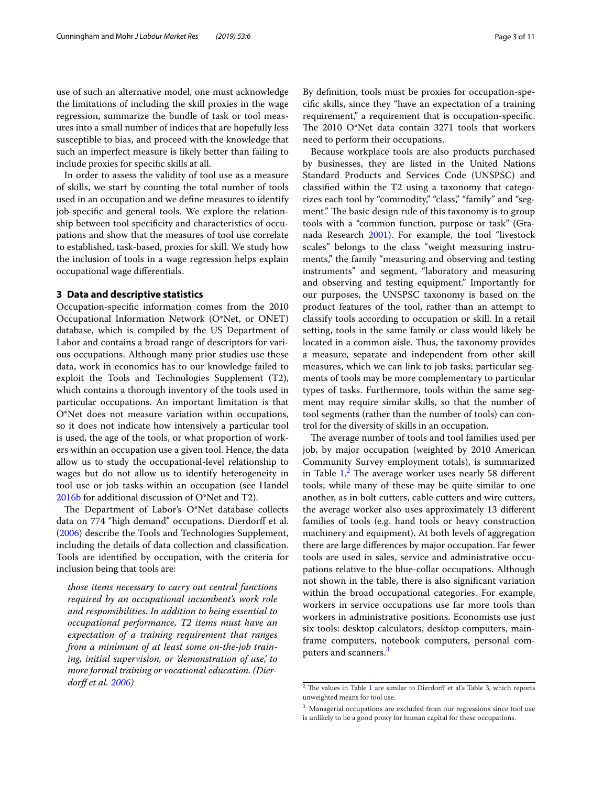use of such an alternative model, one must acknowledge the limitations of including the skill proxies in the wage regression, summarize the bundle of task or tool measures into a small number of indices that are hopefully less susceptible to bias, and proceed with the knowledge that such an imperfect measure is likely better than failing to include proxies for specifc skills at all.

In order to assess the validity of tool use as a measure of skills, we start by counting the total number of tools used in an occupation and we defne measures to identify job-specifc and general tools. We explore the relationship between tool specificity and characteristics of occupations and show that the measures of tool use correlate to established, task-based, proxies for skill. We study how the inclusion of tools in a wage regression helps explain occupational wage diferentials.

#### <span id="page-2-0"></span>**3 Data and descriptive statistics**

Occupation-specifc information comes from the 2010 Occupational Information Network (O\*Net, or ONET) database, which is compiled by the US Department of Labor and contains a broad range of descriptors for various occupations. Although many prior studies use these data, work in economics has to our knowledge failed to exploit the Tools and Technologies Supplement (T2), which contains a thorough inventory of the tools used in particular occupations. An important limitation is that O\*Net does not measure variation within occupations, so it does not indicate how intensively a particular tool is used, the age of the tools, or what proportion of workers within an occupation use a given tool. Hence, the data allow us to study the occupational-level relationship to wages but do not allow us to identify heterogeneity in tool use or job tasks within an occupation (see Handel [2016b](#page-10-15) for additional discussion of O\*Net and T2).

The Department of Labor's  $O*Net$  database collects data on 774 "high demand" occupations. Dierdorf et al. ([2006\)](#page-10-16) describe the Tools and Technologies Supplement, including the details of data collection and classifcation. Tools are identifed by occupation, with the criteria for inclusion being that tools are:

*those items necessary to carry out central functions required by an occupational incumbent's work role and responsibilities. In addition to being essential to occupational performance, T2 items must have an expectation of a training requirement that ranges from a minimum of at least some on-the-job training, initial supervision, or 'demonstration of use,' to more formal training or vocational education. (Dierdorf et al. [2006](#page-10-16))*

By defnition, tools must be proxies for occupation-specifc skills, since they "have an expectation of a training requirement," a requirement that is occupation-specifc. The 2010 O\*Net data contain 3271 tools that workers need to perform their occupations.

Because workplace tools are also products purchased by businesses, they are listed in the United Nations Standard Products and Services Code (UNSPSC) and classifed within the T2 using a taxonomy that categorizes each tool by "commodity," "class," "family" and "segment." The basic design rule of this taxonomy is to group tools with a "common function, purpose or task" (Granada Research [2001\)](#page-10-17). For example, the tool "livestock scales" belongs to the class "weight measuring instruments," the family "measuring and observing and testing instruments" and segment, "laboratory and measuring and observing and testing equipment." Importantly for our purposes, the UNSPSC taxonomy is based on the product features of the tool, rather than an attempt to classify tools according to occupation or skill. In a retail setting, tools in the same family or class would likely be located in a common aisle. Thus, the taxonomy provides a measure, separate and independent from other skill measures, which we can link to job tasks; particular segments of tools may be more complementary to particular types of tasks. Furthermore, tools within the same segment may require similar skills, so that the number of tool segments (rather than the number of tools) can control for the diversity of skills in an occupation.

The average number of tools and tool families used per job, by major occupation (weighted by 2010 American Community Survey employment totals), is summarized in Table  $1<sup>2</sup>$  $1<sup>2</sup>$  $1<sup>2</sup>$ . The average worker uses nearly 58 different tools; while many of these may be quite similar to one another, as in bolt cutters, cable cutters and wire cutters, the average worker also uses approximately 13 diferent families of tools (e.g. hand tools or heavy construction machinery and equipment). At both levels of aggregation there are large diferences by major occupation. Far fewer tools are used in sales, service and administrative occupations relative to the blue-collar occupations. Although not shown in the table, there is also signifcant variation within the broad occupational categories. For example, workers in service occupations use far more tools than workers in administrative positions. Economists use just six tools: desktop calculators, desktop computers, mainframe computers, notebook computers, personal com-puters and scanners.<sup>[3](#page-2-2)</sup>

<span id="page-2-1"></span> $\frac{2}{3}$  The values in Table [1](#page-3-0) are similar to Dierdorff et al's Table 3, which reports unweighted means for tool use.

<span id="page-2-2"></span><sup>&</sup>lt;sup>3</sup> Managerial occupations are excluded from our regressions since tool use is unlikely to be a good proxy for human capital for these occupations.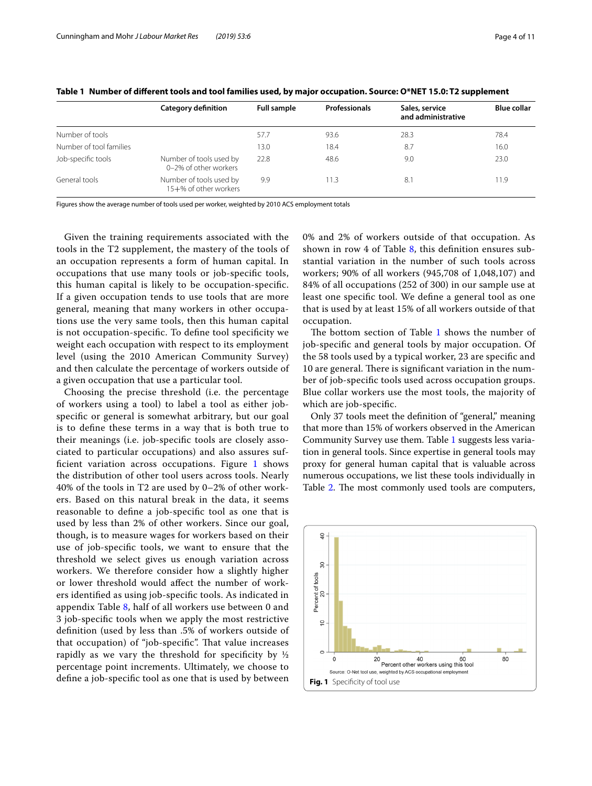|                         | <b>Category definition</b>                       | <b>Full sample</b> | <b>Professionals</b> | Sales, service<br>and administrative | <b>Blue collar</b> |
|-------------------------|--------------------------------------------------|--------------------|----------------------|--------------------------------------|--------------------|
| Number of tools         |                                                  | 57.7               | 93.6                 | 28.3                                 | 78.4               |
| Number of tool families |                                                  | 13.0               | 18.4                 | 8.7                                  | 16.0               |
| Job-specific tools      | Number of tools used by<br>0-2% of other workers | 22.8               | 48.6                 | 9.0                                  | 23.0               |
| General tools           | Number of tools used by<br>15+% of other workers | 9.9                | 11.3                 | 8.                                   | 11.9               |

<span id="page-3-0"></span>**Table 1 Number of diferent tools and tool families used, by major occupation. Source: O\*NET 15.0: T2 supplement**

Figures show the average number of tools used per worker, weighted by 2010 ACS employment totals

Given the training requirements associated with the tools in the T2 supplement, the mastery of the tools of an occupation represents a form of human capital. In occupations that use many tools or job-specifc tools, this human capital is likely to be occupation-specifc. If a given occupation tends to use tools that are more general, meaning that many workers in other occupations use the very same tools, then this human capital is not occupation-specifc. To defne tool specifcity we weight each occupation with respect to its employment level (using the 2010 American Community Survey) and then calculate the percentage of workers outside of a given occupation that use a particular tool.

Choosing the precise threshold (i.e. the percentage of workers using a tool) to label a tool as either jobspecifc or general is somewhat arbitrary, but our goal is to defne these terms in a way that is both true to their meanings (i.e. job-specifc tools are closely associated to particular occupations) and also assures suf-ficient variation across occupations. Figure [1](#page-3-1) shows the distribution of other tool users across tools. Nearly 40% of the tools in T2 are used by 0–2% of other workers. Based on this natural break in the data, it seems reasonable to defne a job-specifc tool as one that is used by less than 2% of other workers. Since our goal, though, is to measure wages for workers based on their use of job-specifc tools, we want to ensure that the threshold we select gives us enough variation across workers. We therefore consider how a slightly higher or lower threshold would afect the number of workers identifed as using job-specifc tools. As indicated in appendix Table [8,](#page-10-18) half of all workers use between 0 and 3 job-specifc tools when we apply the most restrictive defnition (used by less than .5% of workers outside of that occupation) of "job-specific". That value increases rapidly as we vary the threshold for specificity by  $\frac{1}{2}$ percentage point increments. Ultimately, we choose to defne a job-specifc tool as one that is used by between 0% and 2% of workers outside of that occupation. As shown in row 4 of Table [8,](#page-10-18) this defnition ensures substantial variation in the number of such tools across workers; 90% of all workers (945,708 of 1,048,107) and 84% of all occupations (252 of 300) in our sample use at least one specifc tool. We defne a general tool as one that is used by at least 15% of all workers outside of that occupation.

The bottom section of Table  $1$  shows the number of job-specifc and general tools by major occupation. Of the 58 tools used by a typical worker, 23 are specifc and 10 are general. There is significant variation in the number of job-specifc tools used across occupation groups. Blue collar workers use the most tools, the majority of which are job-specifc.

Only 37 tools meet the definition of "general," meaning that more than 15% of workers observed in the American Community Survey use them. Table [1](#page-3-0) suggests less variation in general tools. Since expertise in general tools may proxy for general human capital that is valuable across numerous occupations, we list these tools individually in Table [2](#page-4-0). The most commonly used tools are computers,

<span id="page-3-1"></span>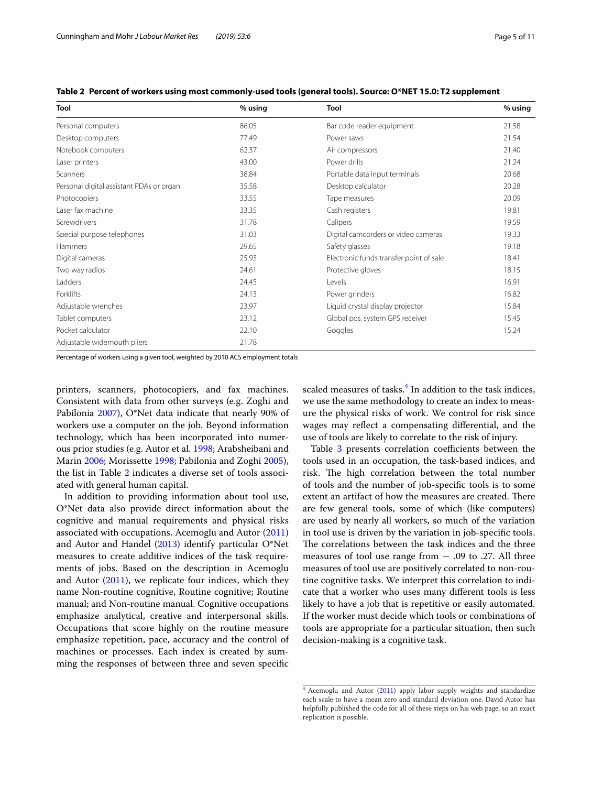| Tool                                     | $%$ using | Tool                                    | % using |  |
|------------------------------------------|-----------|-----------------------------------------|---------|--|
| Personal computers                       | 86.05     | Bar code reader equipment               | 21.58   |  |
| Desktop computers                        | 77.49     | Power saws                              | 21.54   |  |
| Notebook computers                       | 62.37     | Air compressors                         | 21.40   |  |
| Laser printers                           | 43.00     | Power drills                            | 21.24   |  |
| Scanners                                 | 38.84     | Portable data input terminals           | 20.68   |  |
| Personal digital assistant PDAs or organ | 35.58     | Desktop calculator                      | 20.28   |  |
| Photocopiers                             | 33.55     | Tape measures                           | 20.09   |  |
| Laser fax machine                        | 33.35     | Cash registers                          | 19.81   |  |
| Screwdrivers                             | 31.78     | Calipers                                | 19.59   |  |
| Special purpose telephones               | 31.03     | Digital camcorders or video cameras     | 19.33   |  |
| Hammers                                  | 29.65     | Safety glasses                          | 19.18   |  |
| Digital cameras                          | 25.93     | Electronic funds transfer point of sale | 18.41   |  |
| Two way radios                           | 24.61     | Protective gloves                       | 18.15   |  |
| Ladders                                  | 24.45     | Levels                                  | 16.91   |  |
| Forklifts                                | 24.13     | Power grinders                          | 16.82   |  |
| Adjustable wrenches                      | 23.97     | Liquid crystal display projector        | 15.84   |  |
| Tablet computers                         | 23.12     | Global pos. system GPS receiver         | 15.45   |  |
| Pocket calculator                        | 22.10     | Goggles                                 | 15.24   |  |
| Adjustable widemouth pliers              | 21.78     |                                         |         |  |

<span id="page-4-0"></span>**Table 2 Percent of workers using most commonly-used tools (general tools). Source: O\*NET 15.0: T2 supplement**

Percentage of workers using a given tool, weighted by 2010 ACS employment totals

printers, scanners, photocopiers, and fax machines. Consistent with data from other surveys (e.g. Zoghi and Pabilonia [2007\)](#page-10-19), O\*Net data indicate that nearly 90% of workers use a computer on the job. Beyond information technology, which has been incorporated into numerous prior studies (e.g. Autor et al. [1998](#page-10-20); Arabsheibani and Marin [2006](#page-10-21); Morissette [1998](#page-10-22); Pabilonia and Zoghi [2005](#page-10-23)), the list in Table [2](#page-4-0) indicates a diverse set of tools associated with general human capital.

In addition to providing information about tool use, O\*Net data also provide direct information about the cognitive and manual requirements and physical risks associated with occupations. Acemoglu and Autor ([2011](#page-10-24)) and Autor and Handel ([2013](#page-10-11)) identify particular O\*Net measures to create additive indices of the task requirements of jobs. Based on the description in Acemoglu and Autor  $(2011)$  $(2011)$ , we replicate four indices, which they name Non-routine cognitive, Routine cognitive; Routine manual; and Non-routine manual. Cognitive occupations emphasize analytical, creative and interpersonal skills. Occupations that score highly on the routine measure emphasize repetition, pace, accuracy and the control of machines or processes. Each index is created by summing the responses of between three and seven specifc

scaled measures of tasks. $4$  In addition to the task indices, we use the same methodology to create an index to measure the physical risks of work. We control for risk since wages may refect a compensating diferential, and the use of tools are likely to correlate to the risk of injury.

Table [3](#page-5-1) presents correlation coefficients between the tools used in an occupation, the task-based indices, and risk. The high correlation between the total number of tools and the number of job-specifc tools is to some extent an artifact of how the measures are created. There are few general tools, some of which (like computers) are used by nearly all workers, so much of the variation in tool use is driven by the variation in job-specifc tools. The correlations between the task indices and the three measures of tool use range from  $-$  .09 to .27. All three measures of tool use are positively correlated to non-routine cognitive tasks. We interpret this correlation to indicate that a worker who uses many diferent tools is less likely to have a job that is repetitive or easily automated. If the worker must decide which tools or combinations of tools are appropriate for a particular situation, then such decision-making is a cognitive task.

<span id="page-4-1"></span> $4$  Acemoglu and Autor ([2011](#page-10-24)) apply labor supply weights and standardize each scale to have a mean zero and standard deviation one. David Autor has helpfully published the code for all of these steps on his web page, so an exact replication is possible.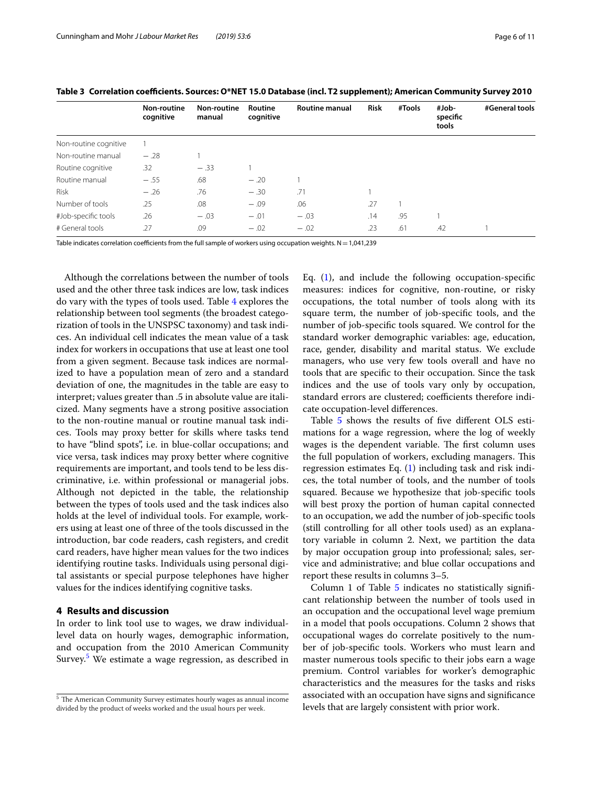|                       | Non-routine<br>cognitive | Non-routine<br>manual | Routine<br>cognitive | <b>Routine manual</b> | <b>Risk</b> | #Tools | #Job-<br>specific<br>tools | #General tools |
|-----------------------|--------------------------|-----------------------|----------------------|-----------------------|-------------|--------|----------------------------|----------------|
| Non-routine cognitive |                          |                       |                      |                       |             |        |                            |                |
| Non-routine manual    | $-.28$                   |                       |                      |                       |             |        |                            |                |
| Routine cognitive     | .32                      | $-.33$                |                      |                       |             |        |                            |                |
| Routine manual        | $-.55$                   | .68                   | $-.20$               |                       |             |        |                            |                |
| Risk                  | $-.26$                   | .76                   | $-.30$               | .71                   |             |        |                            |                |
| Number of tools       | .25                      | .08                   | $-.09$               | .06                   | .27         |        |                            |                |
| #Job-specific tools   | .26                      | $-.03$                | $-.01$               | $-.03$                | .14         | .95    |                            |                |
| # General tools       | .27                      | .09                   | $-.02$               | $-.02$                | .23         | .61    | .42                        |                |

<span id="page-5-1"></span>**Table 3 Correlation coefcients. Sources: O\*NET 15.0 Database (incl. T2 supplement); American Community Survey 2010**

Table indicates correlation coefficients from the full sample of workers using occupation weights.  $N = 1,041,239$ 

Although the correlations between the number of tools used and the other three task indices are low, task indices do vary with the types of tools used. Table [4](#page-6-0) explores the relationship between tool segments (the broadest categorization of tools in the UNSPSC taxonomy) and task indices. An individual cell indicates the mean value of a task index for workers in occupations that use at least one tool from a given segment. Because task indices are normalized to have a population mean of zero and a standard deviation of one, the magnitudes in the table are easy to interpret; values greater than .5 in absolute value are italicized. Many segments have a strong positive association to the non-routine manual or routine manual task indices. Tools may proxy better for skills where tasks tend to have "blind spots", i.e. in blue-collar occupations; and vice versa, task indices may proxy better where cognitive requirements are important, and tools tend to be less discriminative, i.e. within professional or managerial jobs. Although not depicted in the table, the relationship between the types of tools used and the task indices also holds at the level of individual tools. For example, workers using at least one of three of the tools discussed in the introduction, bar code readers, cash registers, and credit card readers, have higher mean values for the two indices identifying routine tasks. Individuals using personal digital assistants or special purpose telephones have higher values for the indices identifying cognitive tasks.

# <span id="page-5-0"></span>**4 Results and discussion**

In order to link tool use to wages, we draw individuallevel data on hourly wages, demographic information, and occupation from the 2010 American Community Survey[.5](#page-5-2) We estimate a wage regression, as described in Eq.  $(1)$ , and include the following occupation-specific measures: indices for cognitive, non-routine, or risky occupations, the total number of tools along with its square term, the number of job-specifc tools, and the number of job-specifc tools squared. We control for the standard worker demographic variables: age, education, race, gender, disability and marital status. We exclude managers, who use very few tools overall and have no tools that are specifc to their occupation. Since the task indices and the use of tools vary only by occupation, standard errors are clustered; coefficients therefore indicate occupation-level diferences.

Table [5](#page-7-0) shows the results of fve diferent OLS estimations for a wage regression, where the log of weekly wages is the dependent variable. The first column uses the full population of workers, excluding managers. This regression estimates Eq. [\(1](#page-1-1)) including task and risk indices, the total number of tools, and the number of tools squared. Because we hypothesize that job-specifc tools will best proxy the portion of human capital connected to an occupation, we add the number of job-specifc tools (still controlling for all other tools used) as an explanatory variable in column 2. Next, we partition the data by major occupation group into professional; sales, service and administrative; and blue collar occupations and report these results in columns 3–5.

Column 1 of Table  $5$  indicates no statistically significant relationship between the number of tools used in an occupation and the occupational level wage premium in a model that pools occupations. Column 2 shows that occupational wages do correlate positively to the number of job-specifc tools. Workers who must learn and master numerous tools specifc to their jobs earn a wage premium. Control variables for worker's demographic characteristics and the measures for the tasks and risks associated with an occupation have signs and signifcance levels that are largely consistent with prior work.

<span id="page-5-2"></span><sup>&</sup>lt;sup>5</sup> The American Community Survey estimates hourly wages as annual income divided by the product of weeks worked and the usual hours per week.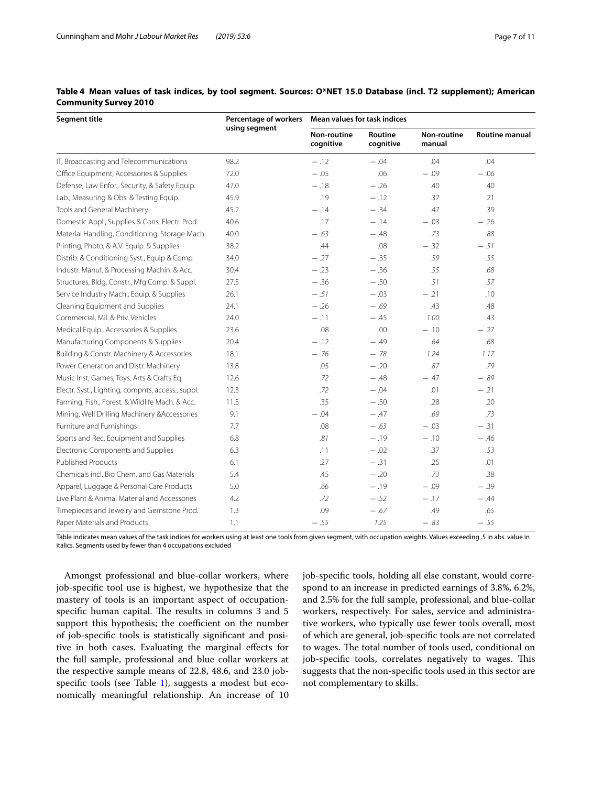| <b>Segment title</b>                              | Percentage of workers | Mean values for task indices    |                      |                              |                       |  |
|---------------------------------------------------|-----------------------|---------------------------------|----------------------|------------------------------|-----------------------|--|
|                                                   | using segment         | <b>Non-routine</b><br>cognitive | Routine<br>cognitive | <b>Non-routine</b><br>manual | <b>Routine manual</b> |  |
| IT, Broadcasting and Telecommunications           | 98.2                  | $-.12$                          | $-.04$               | .04                          | .04                   |  |
| Office Equipment, Accessories & Supplies          | 72.0                  | $-.05$                          | .06                  | $-.09$                       | $-.06$                |  |
| Defense, Law Enfor., Security, & Safety Equip.    | 47.0                  | $-.18$                          | $-.26$               | .40                          | .40                   |  |
| Lab., Measuring & Obs. & Testing Equip.           | 45.9                  | .19                             | $-.12$               | .37                          | .21                   |  |
| Tools and General Machinery                       | 45.2                  | $-.14$                          | $-.34$               | .47                          | .39                   |  |
| Domestic Appl., Supplies & Cons. Electr. Prod.    | 40.6                  | .17                             | $-.14$               | $-.03$                       | $-.26$                |  |
| Material Handling, Conditioning, Storage Mach.    | 40.0                  | $-.63$                          | $-.48$               | .73                          | .88                   |  |
| Printing, Photo, & A.V. Equip. & Supplies         | 38.2                  | .44                             | .08                  | $-.32$                       | $-.51$                |  |
| Distrib. & Conditioning Syst., Equip & Comp.      | 34.0                  | $-.27$                          | $-.35$               | .59                          | .55                   |  |
| Industr. Manuf. & Processing Machin. & Acc.       | 30.4                  | $-.23$                          | $-.36$               | .55                          | .68                   |  |
| Structures, Bldg, Constr., Mfg Comp. & Suppl.     | 27.5                  | $-.36$                          | $-.50$               | .51                          | .57                   |  |
| Service Industry Mach., Equip. & Supplies         | 26.1                  | $-.51$                          | $-.03$               | $-.21$                       | .10                   |  |
| Cleaning Equipment and Supplies                   | 24.1                  | $-.26$                          | $-.69$               | .43                          | .48                   |  |
| Commercial, Mil. & Priv. Vehicles                 | 24.0                  | $-.11$                          | $-.45$               | 1.00                         | .43                   |  |
| Medical Equip., Accessories & Supplies            | 23.6                  | .08                             | .00                  | $-.10$                       | $-.27$                |  |
| Manufacturing Components & Supplies               | 20.4                  | $-.12$                          | $-.49$               | .64                          | .68                   |  |
| Building & Constr. Machinery & Accessories        | 18.1                  | $-.76$                          | $-.78$               | 1.24                         | 1.17                  |  |
| Power Generation and Distr. Machinery             | 13.8                  | .05                             | $-.20$               | .87                          | .79                   |  |
| Music Inst, Games, Toys, Arts & Crafts Eq.        | 12.6                  | .72                             | $-.48$               | $-.47$                       | $-.89$                |  |
| Electr. Syst., Lighting, compnts, access., suppl. | 12.3                  | .72                             | $-.04$               | .01                          | $-.21$                |  |
| Farming, Fish., Forest. & Wildlife Mach. & Acc.   | 11.5                  | .35                             | $-.50$               | .28                          | .20                   |  |
| Mining, Well Drilling Machinery & Accessories     | 9.1                   | $-.04$                          | $-.47$               | .69                          | .73                   |  |
| Furniture and Furnishings                         | 7.7                   | .08                             | $-.63$               | $-.03$                       | $-.31$                |  |
| Sports and Rec. Equipment and Supplies            | 6.8                   | .81                             | $-.19$               | $-.10$                       | $-.46$                |  |
| Electronic Components and Supplies                | 6.3                   | .11                             | $-.02$               | .37                          | .53                   |  |
| <b>Published Products</b>                         | 6.1                   | .27                             | $-.31$               | .25                          | .01                   |  |
| Chemicals incl. Bio Chem. and Gas Materials       | 5.4                   | .45                             | $-.20$               | .73                          | .38                   |  |
| Apparel, Luggage & Personal Care Products         | 5.0                   | .66                             | $-.19$               | $-.09$                       | $-.39$                |  |
| Live Plant & Animal Material and Accessories      | 4.2                   | .72                             | $-.52$               | $-.17$                       | $-.44$                |  |
| Timepieces and Jewelry and Gemstone Prod.         | 1.3                   | .09                             | $-.67$               | .49                          | .65                   |  |
| Paper Materials and Products                      | 1.1                   | $-.55$                          | 1.25                 | $-.83$                       | $-.55$                |  |

# <span id="page-6-0"></span>**Table 4 Mean values of task indices, by tool segment. Sources: O\*NET 15.0 Database (incl. T2 supplement); American Community Survey 2010**

Table indicates mean values of the task indices for workers using at least one tools from given segment, with occupation weights. Values exceeding .5 in abs. value in italics. Segments used by fewer than 4 occupations excluded

Amongst professional and blue-collar workers, where job-specifc tool use is highest, we hypothesize that the mastery of tools is an important aspect of occupationspecific human capital. The results in columns 3 and 5 support this hypothesis; the coefficient on the number of job-specifc tools is statistically signifcant and positive in both cases. Evaluating the marginal efects for the full sample, professional and blue collar workers at the respective sample means of 22.8, 48.6, and 23.0 jobspecific tools (see Table  $1$ ), suggests a modest but economically meaningful relationship. An increase of 10 job-specifc tools, holding all else constant, would correspond to an increase in predicted earnings of 3.8%, 6.2%, and 2.5% for the full sample, professional, and blue-collar workers, respectively. For sales, service and administrative workers, who typically use fewer tools overall, most of which are general, job-specifc tools are not correlated to wages. The total number of tools used, conditional on job-specific tools, correlates negatively to wages. This suggests that the non-specifc tools used in this sector are not complementary to skills.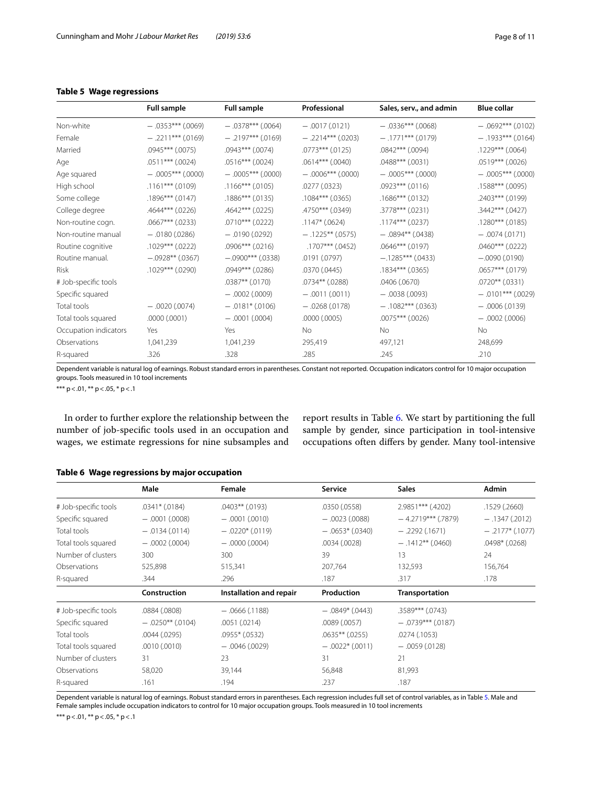# <span id="page-7-0"></span>**Table 5 Wage regressions**

|                       | <b>Full sample</b>   | <b>Full sample</b>   | Professional         | Sales, serv., and admin | <b>Blue collar</b>   |
|-----------------------|----------------------|----------------------|----------------------|-------------------------|----------------------|
| Non-white             | $-.0353***$ (.0069)  | $-.0378***(0064)$    | $-.0017(.0121)$      | $-.0336***$ (.0068)     | $-.0692***$ (.0102)  |
| Female                | $-.2211***$ (.0169)  | $-.2197***$ (.0169)  | $-.2214***(.0203)$   | $-1771***$ (.0179)      | $-1933***(0164)$     |
| Married               | $.0945***$ $(.0075)$ | $.0943***$ $(.0074)$ | $.0773***$ $(.0125)$ | $.0842***$ $(.0094)$    | $.1229***$ $(.0064)$ |
| Age                   | $.0511***$ $(.0024)$ | $.0516***$ $(.0024)$ | $.0614***$ $(.0040)$ | $.0488***$ $(.0031)$    | $.0519***$ $(.0026)$ |
| Age squared           | $-.0005***(.0000)$   | $-.0005***(.0000)$   | $-0.0006***00000$    | $-.0005***(.0000)$      | $-.0005***(0000)$    |
| High school           | $.1161***$ (.0109)   | $.1166***$ (.0105)   | .0277 (.0323)        | $.0923***$ $(.0116)$    | $.1588***$ (.0095)   |
| Some college          | $.1896***$ (.0147)   | $.1886***$ $(.0135)$ | $.1084***$ (.0365)   | $.1686***$ (.0132)      | .2403*** (.0199)     |
| College degree        | $.4644***$ $(.0226)$ | $.4642***$ $(.0225)$ | .4750*** (.0349)     | $.3778***$ (.0231)      | .3442*** (.0427)     |
| Non-routine cogn.     | $.0667***$ $(.0233)$ | $.0710***$ (.0222)   | $.1147*$ (.0624)     | $.1174***$ (.0237)      | $.1280***$ (.0185)   |
| Non-routine manual    | $-.0180(.0286)$      | $-.0190(.0292)$      | $-.1225***(.0575)$   | $-.0894***$ (.0438)     | $-.0074(.0171)$      |
| Routine cognitive     | $.1029***$ (.0222)   | $.0906***$ $(.0216)$ | $.1707***$ (.0452)   | $.0646***$ (.0197)      | $.0460***$ $(.0222)$ |
| Routine manual.       | $-.0928**$ (.0367)   | $-.0900***$ (.0338)  | .0191 (.0797)        | $-.1285***$ (.0433)     | $-.0090(.0190)$      |
| Risk                  | $.1029***$ $(.0290)$ | .0949*** (.0286)     | .0370(.0445)         | $.1834***$ $(.0365)$    | $.0657***$ $(.0179)$ |
| # Job-specific tools  |                      | $.0387**$ $(.0170)$  | $.0734**$ (.0288)    | .0406(.0670)            | $.0720**$ (.0331)    |
| Specific squared      |                      | $-.0002(.0009)$      | $-.0011(.0011)$      | $-.0038(.0093)$         | $-.0101***$ (.0029)  |
| Total tools           | $-.0020(.0074)$      | $-.0181*$ (.0106)    | $-.0268(.0178)$      | $-.1082***$ (.0363)     | $-.0006(.0139)$      |
| Total tools squared   | .0000(.0001)         | $-.0001(.0004)$      | .0000(.0005)         | $.0075***$ $(.0026)$    | $-.0002(.0006)$      |
| Occupation indicators | Yes                  | Yes                  | No.                  | <b>No</b>               | No.                  |
| Observations          | 1,041,239            | 1,041,239            | 295,419              | 497,121                 | 248,699              |
| R-squared             | .326                 | .328                 | .285                 | .245                    | .210                 |

Dependent variable is natural log of earnings. Robust standard errors in parentheses. Constant not reported. Occupation indicators control for 10 major occupation groups. Tools measured in 10 tool increments

\*\*\* p <.01, \*\* p <.05, \* p <.1

In order to further explore the relationship between the number of job-specifc tools used in an occupation and wages, we estimate regressions for nine subsamples and report results in Table [6](#page-7-1). We start by partitioning the full sample by gender, since participation in tool-intensive occupations often difers by gender. Many tool-intensive

|                      | Male                | Female                  | Service             | <b>Sales</b>         | Admin            |
|----------------------|---------------------|-------------------------|---------------------|----------------------|------------------|
| # Job-specific tools | $.0341*$ $(.0184)$  | $.0403**$ (.0193)       | .0350 (.0558)       | 2.9851*** (.4202)    | .1529 (.2660)    |
| Specific squared     | $-.0001(.0008)$     | $-.0001(.0010)$         | $-.0023(.0088)$     | $-4.2719***$ (.7879) | $-.1347(.2012)$  |
| Total tools          | $-.0134(.0114)$     | $-.0220*(0119)$         | $-.0653*$ (.0340)   | $-.2292(.1671)$      | $-.2177*(.1077)$ |
| Total tools squared  | $-.0002(.0004)$     | $-0000(0004)$           | .0034 (.0028)       | $-$ .1412** (.0460)  | .0498* (.0268)   |
| Number of clusters   | 300                 | 300                     | 39                  | 13                   | 24               |
| Observations         | 525,898             | 515,341                 | 207,764             | 132,593              | 156,764          |
| R-squared            | .344                | .296                    | .187                | .317                 | .178             |
|                      | Construction        | Installation and repair | Production          | Transportation       |                  |
| # Job-specific tools | .0884 (.0808)       | $-.0666(.1188)$         | $-.0849*$ (.0443)   | $.3589***$ (.0743)   |                  |
| Specific squared     | $-.0250***$ (.0104) | .0051(.0214)            | .0089 (.0057)       | $-.0739***$ (.0187)  |                  |
| Total tools          | .0044(.0295)        | $.0955*$ (.0532)        | $.0635**$ $(.0255)$ | .0274(.1053)         |                  |
| Total tools squared  | .0010(.0010)        | $-.0046(.0029)$         | $-.0022*(.0011)$    | $-.0059(.0128)$      |                  |
| Number of clusters   | 31                  | 23                      | 31                  | 21                   |                  |
| Observations         | 58,020              | 39,144                  | 56,848              | 81,993               |                  |
| R-squared            | .161                | .194                    | .237                | .187                 |                  |

## <span id="page-7-1"></span>**Table 6 Wage regressions by major occupation**

Dependent variable is natural log of earnings. Robust standard errors in parentheses. Each regression includes full set of control variables, as in Table [5](#page-7-0). Male and Female samples include occupation indicators to control for 10 major occupation groups. Tools measured in 10 tool increments

\*\*\* p <.01, \*\* p <.05, \* p <.1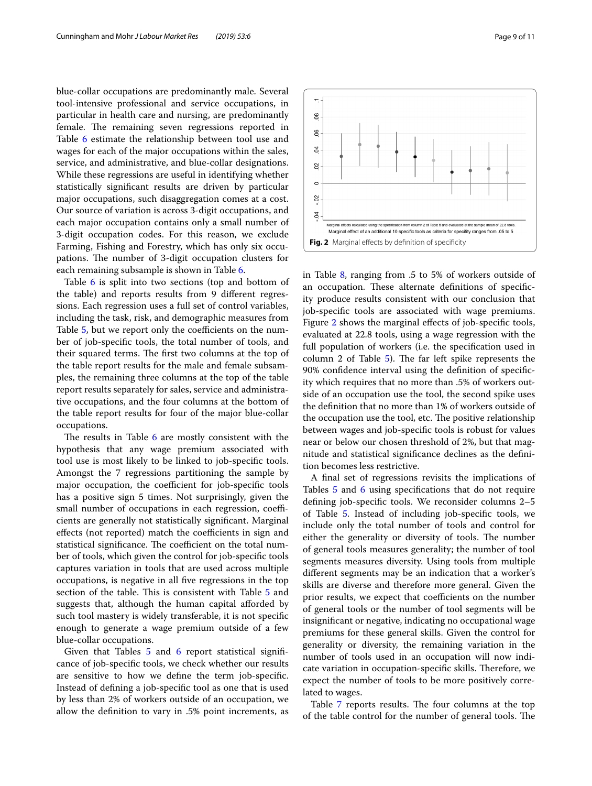blue-collar occupations are predominantly male. Several tool-intensive professional and service occupations, in particular in health care and nursing, are predominantly female. The remaining seven regressions reported in Table [6](#page-7-1) estimate the relationship between tool use and wages for each of the major occupations within the sales, service, and administrative, and blue-collar designations. While these regressions are useful in identifying whether statistically signifcant results are driven by particular major occupations, such disaggregation comes at a cost. Our source of variation is across 3-digit occupations, and each major occupation contains only a small number of 3-digit occupation codes. For this reason, we exclude Farming, Fishing and Forestry, which has only six occupations. The number of 3-digit occupation clusters for each remaining subsample is shown in Table [6.](#page-7-1)

Table [6](#page-7-1) is split into two sections (top and bottom of the table) and reports results from 9 diferent regressions. Each regression uses a full set of control variables, including the task, risk, and demographic measures from Table [5,](#page-7-0) but we report only the coefficients on the number of job-specifc tools, the total number of tools, and their squared terms. The first two columns at the top of the table report results for the male and female subsamples, the remaining three columns at the top of the table report results separately for sales, service and administrative occupations, and the four columns at the bottom of the table report results for four of the major blue-collar occupations.

The results in Table  $6$  are mostly consistent with the hypothesis that any wage premium associated with tool use is most likely to be linked to job-specifc tools. Amongst the 7 regressions partitioning the sample by major occupation, the coefficient for job-specific tools has a positive sign 5 times. Not surprisingly, given the small number of occupations in each regression, coefficients are generally not statistically signifcant. Marginal effects (not reported) match the coefficients in sign and statistical significance. The coefficient on the total number of tools, which given the control for job-specifc tools captures variation in tools that are used across multiple occupations, is negative in all fve regressions in the top section of the table. This is consistent with Table [5](#page-7-0) and suggests that, although the human capital afforded by such tool mastery is widely transferable, it is not specifc enough to generate a wage premium outside of a few blue-collar occupations.

Given that Tables [5](#page-7-0) and [6](#page-7-1) report statistical significance of job-specifc tools, we check whether our results are sensitive to how we defne the term job-specifc. Instead of defning a job-specifc tool as one that is used by less than 2% of workers outside of an occupation, we allow the defnition to vary in .5% point increments, as <span id="page-8-0"></span>in Table [8](#page-10-18), ranging from .5 to 5% of workers outside of an occupation. These alternate definitions of specificity produce results consistent with our conclusion that job-specifc tools are associated with wage premiums. Figure [2](#page-8-0) shows the marginal efects of job-specifc tools, evaluated at 22.8 tools, using a wage regression with the full population of workers (i.e. the specifcation used in column 2 of Table  $5$ ). The far left spike represents the 90% confdence interval using the defnition of specifcity which requires that no more than .5% of workers outside of an occupation use the tool, the second spike uses the defnition that no more than 1% of workers outside of the occupation use the tool, etc. The positive relationship between wages and job-specifc tools is robust for values near or below our chosen threshold of 2%, but that magnitude and statistical signifcance declines as the defnition becomes less restrictive.

A fnal set of regressions revisits the implications of Tables [5](#page-7-0) and [6](#page-7-1) using specifications that do not require defning job-specifc tools. We reconsider columns 2–5 of Table [5.](#page-7-0) Instead of including job-specifc tools, we include only the total number of tools and control for either the generality or diversity of tools. The number of general tools measures generality; the number of tool segments measures diversity. Using tools from multiple diferent segments may be an indication that a worker's skills are diverse and therefore more general. Given the prior results, we expect that coefficients on the number of general tools or the number of tool segments will be insignifcant or negative, indicating no occupational wage premiums for these general skills. Given the control for generality or diversity, the remaining variation in the number of tools used in an occupation will now indicate variation in occupation-specific skills. Therefore, we expect the number of tools to be more positively correlated to wages.

Table [7](#page-9-1) reports results. The four columns at the top of the table control for the number of general tools. The

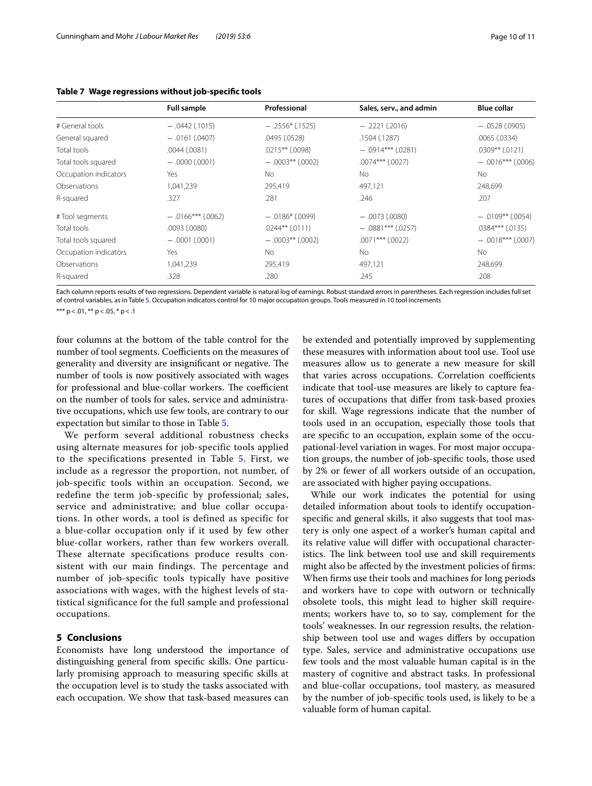|                       | <b>Full sample</b>  | Professional        | Sales, serv., and admin | <b>Blue collar</b>   |  |
|-----------------------|---------------------|---------------------|-------------------------|----------------------|--|
| # General tools       | $-0.0442(015)$      | $-.2556*(.1525)$    | $-.2221(.2016)$         | $-.0528(.0905)$      |  |
| General squared       | $-.0161(.0407)$     | .0495 (.0528)       | .1504 (.1287)           | .0065(.0334)         |  |
| Total tools           | .0044(.0081)        | $.0215**$ (.0098)   | $-.0914***$ (.0281)     | $.0309**$ $(.0121)$  |  |
| Total tools squared   | $-0000(0001)$       | $-.0003$ ** (.0002) | $.0074***$ $(.0027)$    | $-.0016***$ (.0006)  |  |
| Occupation indicators | Yes                 | No.                 | <b>No</b>               | No.                  |  |
| Observations          | 1,041,239           | 295,419             | 497.121                 | 248,699              |  |
| R-squared             | .327                | .281                | .246                    | .207                 |  |
| #Tool segments        | $-.0166***$ (.0062) | $-.0186*$ (.0099)   | $-.0073(.0080)$         | $-.0109***$ (.0054)  |  |
| Total tools           | $.0093$ $(.0080)$   | $.0244**$ $(.0111)$ | $-.0881***$ (.0257)     | $.0384***$ $(.0135)$ |  |
| Total tools squared   | $-.0001(.0001)$     | $-.0003$ ** (.0002) | $.0071$ *** (.0022)     | $-.0018***(0007)$    |  |
| Occupation indicators | Yes                 | No.                 | <b>No</b>               | <b>No</b>            |  |
| Observations          | 1,041,239           | 295,419             | 497,121                 | 248,699              |  |
| R-squared             | .328                | .280                | .245                    | .208                 |  |

#### <span id="page-9-1"></span>**Table 7 Wage regressions without job-specifc tools**

Each column reports results of two regressions. Dependent variable is natural log of earnings. Robust standard errors in parentheses. Each regression includes full set of control variables, as in Table [5](#page-7-0). Occupation indicators control for 10 major occupation groups. Tools measured in 10 tool increments

\*\*\*  $p < .01$ , \*\*  $p < .05$ , \*  $p < .1$ 

four columns at the bottom of the table control for the number of tool segments. Coefficients on the measures of generality and diversity are insignificant or negative. The number of tools is now positively associated with wages for professional and blue-collar workers. The coefficient on the number of tools for sales, service and administrative occupations, which use few tools, are contrary to our expectation but similar to those in Table [5](#page-7-0).

We perform several additional robustness checks using alternate measures for job-specific tools applied to the specifications presented in Table [5.](#page-7-0) First, we include as a regressor the proportion, not number, of job-specific tools within an occupation. Second, we redefine the term job-specific by professional; sales, service and administrative; and blue collar occupations. In other words, a tool is defined as specific for a blue-collar occupation only if it used by few other blue-collar workers, rather than few workers overall. These alternate specifications produce results consistent with our main findings. The percentage and number of job-specific tools typically have positive associations with wages, with the highest levels of statistical significance for the full sample and professional occupations.

## <span id="page-9-0"></span>**5 Conclusions**

Economists have long understood the importance of distinguishing general from specifc skills. One particularly promising approach to measuring specifc skills at the occupation level is to study the tasks associated with each occupation. We show that task-based measures can be extended and potentially improved by supplementing these measures with information about tool use. Tool use measures allow us to generate a new measure for skill that varies across occupations. Correlation coefficients indicate that tool-use measures are likely to capture features of occupations that difer from task-based proxies for skill. Wage regressions indicate that the number of tools used in an occupation, especially those tools that are specifc to an occupation, explain some of the occupational-level variation in wages. For most major occupation groups, the number of job-specifc tools, those used by 2% or fewer of all workers outside of an occupation, are associated with higher paying occupations.

While our work indicates the potential for using detailed information about tools to identify occupationspecifc and general skills, it also suggests that tool mastery is only one aspect of a worker's human capital and its relative value will difer with occupational characteristics. The link between tool use and skill requirements might also be afected by the investment policies of frms: When frms use their tools and machines for long periods and workers have to cope with outworn or technically obsolete tools, this might lead to higher skill requirements; workers have to, so to say, complement for the tools' weaknesses. In our regression results, the relationship between tool use and wages difers by occupation type. Sales, service and administrative occupations use few tools and the most valuable human capital is in the mastery of cognitive and abstract tasks. In professional and blue-collar occupations, tool mastery, as measured by the number of job-specifc tools used, is likely to be a valuable form of human capital.